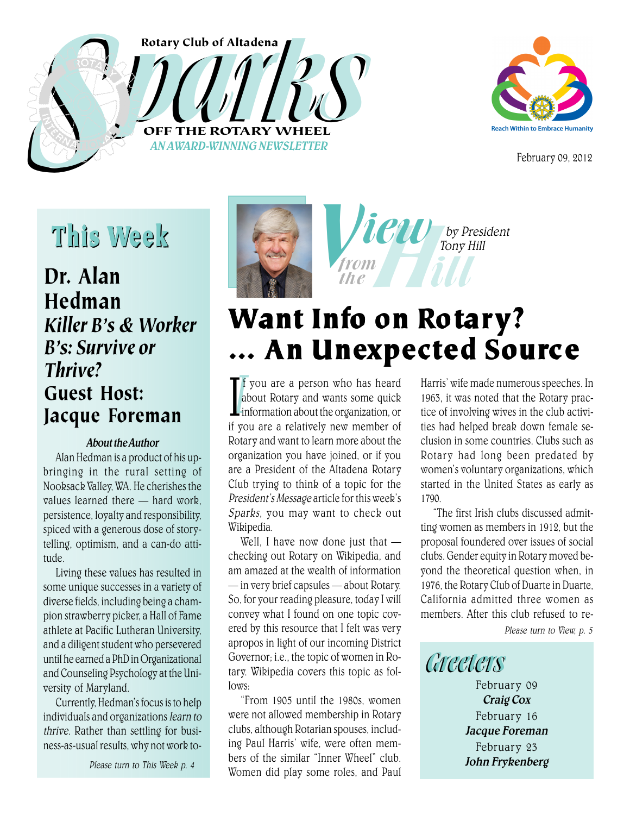





February 09, 2012

# This Week

### Dr. Alan Hedman *Killer B's & Worker B's: Survive or Thrive?* Guest Host: Jacque Foreman

#### About the Author

Alan Hedman is a product of his upbringing in the rural setting of Nooksack Valley, WA. He cherishes the values learned there — hard work, persistence, loyalty and responsibility, spiced with a generous dose of storytelling, optimism, and a can-do attitude.

Living these values has resulted in some unique successes in a variety of diverse fields, including being a champion strawberry picker, a Hall of Fame athlete at Pacific Lutheran University, and a diligent student who persevered until he earned a PhD in Organizational and Counseling Psychology at the University of Maryland.

Currently, Hedman's focus is to help individuals and organizations learn to thrive. Rather than settling for business-as-usual results, why not work to-

Please turn to This Week p. 4





# Want Info on Rotary? … An Unexpected Source

If you are a person who has heard<br>about Rotary and wants some quick<br>information about the organization or I you are a person who has heard<br>about Rotary and wants some quick<br>information about the organization, or about Rotary and wants some quick if you are a relatively new member of Rotary and want to learn more about the organization you have joined, or if you are a President of the Altadena Rotary Club trying to think of a topic for the President's Message article for this week's Sparks, you may want to check out Wikipedia.

Well, I have now done just that checking out Rotary on Wikipedia, and am amazed at the wealth of information — in very brief capsules — about Rotary. So, for your reading pleasure, today I will convey what I found on one topic covered by this resource that I felt was very apropos in light of our incoming District Governor; i.e., the topic of women in Rotary. Wikipedia covers this topic as fol $lows.$ 

"From 1905 until the 1980s, women were not allowed membership in Rotary clubs, although Rotarian spouses, including Paul Harris' wife, were often members of the similar "Inner Wheel" club. Women did play some roles, and Paul

Harris' wife made numerous speeches. In 1963, it was noted that the Rotary practice of involving wives in the club activities had helped break down female seclusion in some countries. Clubs such as Rotary had long been predated by women's voluntary organizations, which started in the United States as early as 1790.

"The first Irish clubs discussed admitting women as members in 1912, but the proposal foundered over issues of social clubs. Gender equity in Rotary moved beyond the theoretical question when, in 1976, the Rotary Club of Duarte in Duarte, California admitted three women as members. After this club refused to re-

Please turn to View, p. 5

Greeters February 09 Craig Cox February 16 Jacque Foreman February 23 John Frykenberg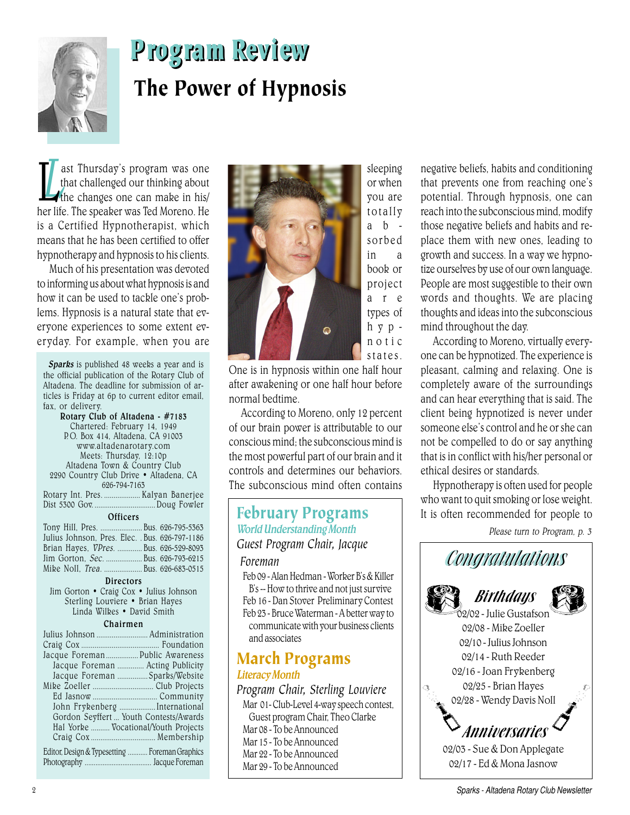

# Program Review The Power of Hypnosis

Let Thursday's program was one<br>that challenged our thinking about<br>the changes one can make in his/ ast Thursday's program was one that challenged our thinking about her life. The speaker was Ted Moreno. He is a Certified Hypnotherapist, which means that he has been certified to offer hypnotherapy and hypnosis to his clients.

Much of his presentation was devoted to informing us about what hypnosis is and how it can be used to tackle one's problems. Hypnosis is a natural state that everyone experiences to some extent everyday. For example, when you are

Sparks is published 48 weeks a year and is the official publication of the Rotary Club of Altadena. The deadline for submission of articles is Friday at 6p to current editor email, fax, or delivery.

Rotary Club of Altadena - #7183 Chartered: February 14, 1949 P.O. Box 414, Altadena, CA 91003 www.altadenarotary.com Meets: Thursday, 12:10p Altadena Town & Country Club 2290 Country Club Drive • Altadena, CA 626-794-7163 Rotary Int. Pres. ................... Kalyan Banerjee Dist 5300 Gov. ..................... **Officers** Tony Hill, Pres. ...................... Bus. 626-795-5363 Julius Johnson, Pres. Elec. . Bus. 626-797-1186 Brian Hayes, VPres. ............. Bus. 626-529-8093 Jim Gorton, Sec. ................... Bus. 626-793-6215 Mike Noll, *Trea. ...................*.Bus. 626-683-0515 **Directors** Jim Gorton • Craig Cox • Julius Johnson Sterling Louviere • Brian Hayes Linda Wilkes • David Smith

#### Chairmen

| Jacque Foreman Public Awareness                |                                        |
|------------------------------------------------|----------------------------------------|
|                                                | Jacque Foreman  Acting Publicity       |
|                                                | Jacque Foreman Sparks/Website          |
|                                                |                                        |
|                                                |                                        |
|                                                | John Frykenberg  International         |
|                                                | Gordon Seyffert  Youth Contests/Awards |
|                                                | Hal Yorke  Vocational/Youth Projects   |
|                                                |                                        |
| Editor, Design & Typesetting  Foreman Graphics |                                        |
|                                                |                                        |



One is in hypnosis within one half hour after awakening or one half hour before normal bedtime.

According to Moreno, only 12 percent of our brain power is attributable to our conscious mind; the subconscious mind is the most powerful part of our brain and it controls and determines our behaviors. The subconscious mind often contains

### February Programs World Understanding Month *Guest Program Chair, Jacque*

#### *Foreman*

Feb 09 - Alan Hedman - Worker B's & Killer B's -- How to thrive and not just survive Feb 16 - Dan Stover Preliminary Contest Feb 23 - Bruce Waterman - A better way to communicate with your business clients and associates

#### March Programs Literacy Month

*Program Chair, Sterling Louviere* Mar 01- Club-Level 4-way speech contest, Guest program Chair, Theo Clarke Mar 08 - To be Announced Mar 15 - To be Announced Mar 22 - To be Announced Mar 29 - To be Announced

negative beliefs, habits and conditioning that prevents one from reaching one's potential. Through hypnosis, one can reach into the subconscious mind, modify those negative beliefs and habits and replace them with new ones, leading to growth and success. In a way we hypnotize ourselves by use of our own language. People are most suggestible to their own words and thoughts. We are placing thoughts and ideas into the subconscious mind throughout the day.

According to Moreno, virtually everyone can be hypnotized. The experience is pleasant, calming and relaxing. One is completely aware of the surroundings and can hear everything that is said. The client being hypnotized is never under someone else's control and he or she can not be compelled to do or say anything that is in conflict with his/her personal or ethical desires or standards.

Hypnotherapy is often used for people who want to quit smoking or lose weight. It is often recommended for people to

Please turn to Program, p. 3

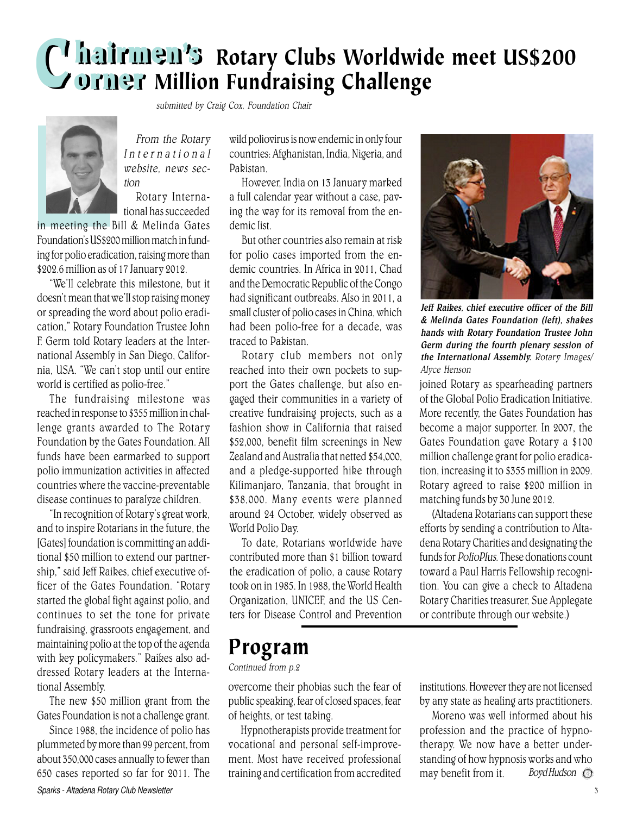## CI hairmen's Rotary Clubs Worldwide meet US\$200 Million Fundraising Challenge



From the Rotary International

submitted by Craig Cox, Foundation Chair

tion Rotary International has succeeded

website, news sec-

in meeting the Bill & Melinda Gates Foundation's US\$200 million match in funding for polio eradication, raising more than \$202.6 million as of 17 January 2012.

"We'll celebrate this milestone, but it doesn't mean that we'll stop raising money or spreading the word about polio eradication," Rotary Foundation Trustee John F. Germ told Rotary leaders at the International Assembly in San Diego, California, USA. "We can't stop until our entire world is certified as polio-free."

The fundraising milestone was reached in response to \$355 million in challenge grants awarded to The Rotary Foundation by the Gates Foundation. All funds have been earmarked to support polio immunization activities in affected countries where the vaccine-preventable disease continues to paralyze children.

"In recognition of Rotary's great work, and to inspire Rotarians in the future, the [Gates] foundation is committing an additional \$50 million to extend our partnership," said Jeff Raikes, chief executive officer of the Gates Foundation. "Rotary started the global fight against polio, and continues to set the tone for private fundraising, grassroots engagement, and maintaining polio at the top of the agenda with key policymakers." Raikes also addressed Rotary leaders at the International Assembly.

The new \$50 million grant from the Gates Foundation is not a challenge grant.

Sparks - Altadena Rotary Club Newsletter 3 Since 1988, the incidence of polio has plummeted by more than 99 percent, from about 350,000 cases annually to fewer than 650 cases reported so far for 2011. The

wild poliovirus is now endemic in only four countries: Afghanistan, India, Nigeria, and Pakistan.

However, India on 13 January marked a full calendar year without a case, paving the way for its removal from the endemic list.

But other countries also remain at risk for polio cases imported from the endemic countries. In Africa in 2011, Chad and the Democratic Republic of the Congo had significant outbreaks. Also in 2011, a small cluster of polio cases in China, which had been polio-free for a decade, was traced to Pakistan.

Rotary club members not only reached into their own pockets to support the Gates challenge, but also engaged their communities in a variety of creative fundraising projects, such as a fashion show in California that raised \$52,000, benefit film screenings in New Zealand and Australia that netted \$54,000, and a pledge-supported hike through Kilimanjaro, Tanzania, that brought in \$38,000. Many events were planned around 24 October, widely observed as World Polio Day.

To date, Rotarians worldwide have contributed more than \$1 billion toward the eradication of polio, a cause Rotary took on in 1985. In 1988, the World Health Organization, UNICEF, and the US Centers for Disease Control and Prevention

### Program

Continued from p.2

overcome their phobias such the fear of public speaking, fear of closed spaces, fear of heights, or test taking.

Hypnotherapists provide treatment for vocational and personal self-improvement. Most have received professional training and certification from accredited



Jeff Raikes, chief executive officer of the Bill & Melinda Gates Foundation (left), shakes hands with Rotary Foundation Trustee John Germ during the fourth plenary session of the International Assembly. Rotary Images/ Alyce Henson

joined Rotary as spearheading partners of the Global Polio Eradication Initiative. More recently, the Gates Foundation has become a major supporter. In 2007, the Gates Foundation gave Rotary a \$100 million challenge grant for polio eradication, increasing it to \$355 million in 2009. Rotary agreed to raise \$200 million in matching funds by 30 June 2012.

(Altadena Rotarians can support these efforts by sending a contribution to Altadena Rotary Charities and designating the funds for PolioPlus. These donations count toward a Paul Harris Fellowship recognition. You can give a check to Altadena Rotary Charities treasurer, Sue Applegate or contribute through our website.)

institutions. However they are not licensed by any state as healing arts practitioners.

Boyd Hudson  $\odot$ Moreno was well informed about his profession and the practice of hypnotherapy. We now have a better understanding of how hypnosis works and who may benefit from it.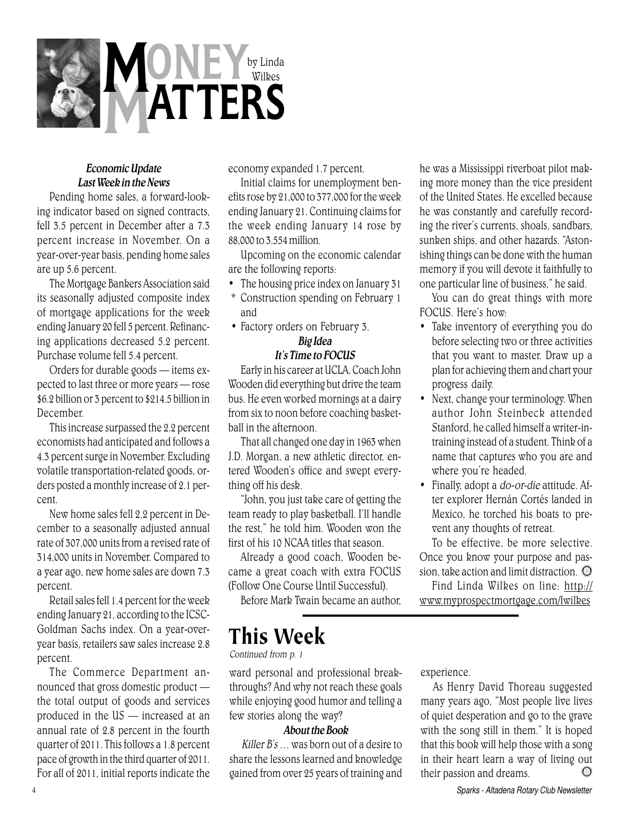

#### Economic Update Last Week in the News

Pending home sales, a forward-looking indicator based on signed contracts, fell 3.5 percent in December after a 7.3 percent increase in November. On a year-over-year basis, pending home sales are up 5.6 percent.

The Mortgage Bankers Association said its seasonally adjusted composite index of mortgage applications for the week ending January 20 fell 5 percent. Refinancing applications decreased 5.2 percent. Purchase volume fell 5.4 percent.

Orders for durable goods — items expected to last three or more years — rose \$6.2 billion or 3 percent to \$214.5 billion in December.

This increase surpassed the 2.2 percent economists had anticipated and follows a 4.3 percent surge in November. Excluding volatile transportation-related goods, orders posted a monthly increase of 2.1 percent.

New home sales fell 2.2 percent in December to a seasonally adjusted annual rate of 307,000 units from a revised rate of 314,000 units in November. Compared to a year ago, new home sales are down 7.3 percent.

Retail sales fell 1.4 percent for the week ending January 21, according to the ICSC-Goldman Sachs index. On a year-overyear basis, retailers saw sales increase 2.8 percent.

The Commerce Department announced that gross domestic product the total output of goods and services produced in the US — increased at an annual rate of 2.8 percent in the fourth quarter of 2011. This follows a 1.8 percent pace of growth in the third quarter of 2011. For all of 2011, initial reports indicate the economy expanded 1.7 percent.

Initial claims for unemployment benefits rose by 21,000 to 377,000 for the week ending January 21. Continuing claims for the week ending January 14 rose by 88,000 to 3.554 million.

Upcoming on the economic calendar are the following reports:

- The housing price index on January 31
- \* Construction spending on February 1 and
- Factory orders on February 3. Big Idea

#### It's Time to FOCUS

Early in his career at UCLA, Coach John Wooden did everything but drive the team bus. He even worked mornings at a dairy from six to noon before coaching basketball in the afternoon.

That all changed one day in 1963 when J.D. Morgan, a new athletic director, entered Wooden's office and swept everything off his desk.

, the rest," he told him. Wooden won the "John, you just take care of getting the team ready to play basketball. I'll handle first of his 10 NCAA titles that season.

Already a good coach, Wooden became a great coach with extra FOCUS (Follow One Course Until Successful).

Before Mark Twain became an author,

## This Week

Continued from p. 1

ward personal and professional breakthroughs? And why not reach these goals while enjoying good humor and telling a few stories along the way?

#### About the Book

Killer B's … was born out of a desire to share the lessons learned and knowledge gained from over 25 years of training and

he was a Mississippi riverboat pilot making more money than the vice president of the United States. He excelled because he was constantly and carefully recording the river's currents, shoals, sandbars, sunken ships, and other hazards. "Astonishing things can be done with the human memory if you will devote it faithfully to one particular line of business," he said.

You can do great things with more FOCUS. Here's how:

- Take inventory of everything you do before selecting two or three activities that you want to master. Draw up a plan for achieving them and chart your progress daily.
- Next, change your terminology. When author John Steinbeck attended Stanford, he called himself a writer-intraining instead of a student. Think of a name that captures who you are and where you're headed.
- Finally, adopt a do-or-die attitude. After explorer Hernán Cortés landed in Mexico, he torched his boats to prevent any thoughts of retreat.

To be effective, be more selective. Once you know your purpose and passion, take action and limit distraction.  $\odot$ 

Find Linda Wilkes on line: http:// www.myprospectmortgage.com/lwilkes

experience.

As Henry David Thoreau suggested many years ago, "Most people live lives of quiet desperation and go to the grave with the song still in them." It is hoped that this book will help those with a song in their heart learn a way of living out their passion and dreams.  $\Omega$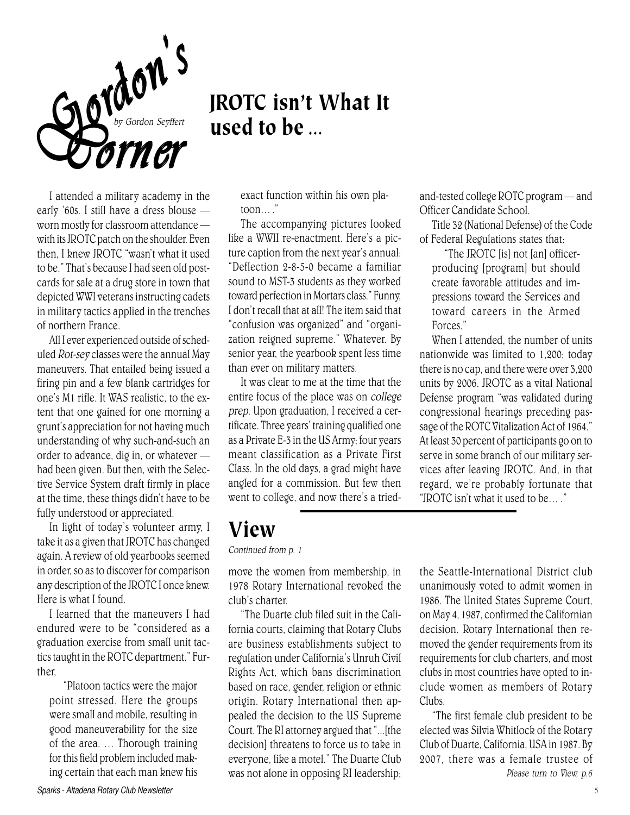

## JROTC isn't What It used to be …

I attended a military academy in the early '60s. I still have a dress blouse worn mostly for classroom attendance with its JROTC patch on the shoulder. Even then, I knew JROTC "wasn't what it used to be." That's because I had seen old postcards for sale at a drug store in town that depicted WWI veterans instructing cadets in military tactics applied in the trenches of northern France.

All I ever experienced outside of scheduled Rot-sey classes were the annual May maneuvers. That entailed being issued a firing pin and a few blank cartridges for one's M1 rifle. It WAS realistic, to the extent that one gained for one morning a grunt's appreciation for not having much understanding of why such-and-such an order to advance, dig in, or whatever had been given. But then, with the Selective Service System draft firmly in place at the time, these things didn't have to be fully understood or appreciated.

In light of today's volunteer army, I take it as a given that JROTC has changed again. A review of old yearbooks seemed in order, so as to discover for comparison any description of the JROTC I once knew. Here is what I found.

I learned that the maneuvers I had endured were to be "considered as a graduation exercise from small unit tactics taught in the ROTC department." Further,

"Platoon tactics were the major point stressed. Here the groups were small and mobile, resulting in good maneuverability for the size of the area. … Thorough training for this field problem included making certain that each man knew his exact function within his own platoon… ."

The accompanying pictures looked like a WWII re-enactment. Here's a picture caption from the next year's annual: "Deflection 2-8-5-0 became a familiar sound to MST-3 students as they worked toward perfection in Mortars class." Funny, I don't recall that at all! The item said that "confusion was organized" and "organization reigned supreme." Whatever. By senior year, the yearbook spent less time than ever on military matters.

It was clear to me at the time that the entire focus of the place was on college prep. Upon graduation, I received a certificate. Three years' training qualified one as a Private E-3 in the US Army; four years meant classification as a Private First Class. In the old days, a grad might have angled for a commission. But few then went to college, and now there's a triedand-tested college ROTC program — and Officer Candidate School.

Title 32 (National Defense) of the Code of Federal Regulations states that:

"The JROTC [is] not [an] officerproducing [program] but should create favorable attitudes and impressions toward the Services and toward careers in the Armed Forces."

When I attended, the number of units nationwide was limited to 1,200; today there is no cap, and there were over 3,200 units by 2006. JROTC as a vital National Defense program "was validated during congressional hearings preceding passage of the ROTC Vitalization Act of 1964." At least 30 percent of participants go on to serve in some branch of our military services after leaving JROTC. And, in that regard, we're probably fortunate that "JROTC isn't what it used to be… ."

### View

Continued from p. 1

move the women from membership, in 1978 Rotary International revoked the club's charter.

"The Duarte club filed suit in the California courts, claiming that Rotary Clubs are business establishments subject to regulation under California's Unruh Civil Rights Act, which bans discrimination based on race, gender, religion or ethnic origin. Rotary International then appealed the decision to the US Supreme Court. The RI attorney argued that "...[the decision] threatens to force us to take in everyone, like a motel." The Duarte Club was not alone in opposing RI leadership;

the Seattle-International District club unanimously voted to admit women in 1986. The United States Supreme Court, on May 4, 1987, confirmed the Californian decision. Rotary International then removed the gender requirements from its requirements for club charters, and most clubs in most countries have opted to include women as members of Rotary Clubs.

"The first female club president to be elected was Silvia Whitlock of the Rotary Club of Duarte, California, USA in 1987. By 2007, there was a female trustee of Please turn to View, p.6